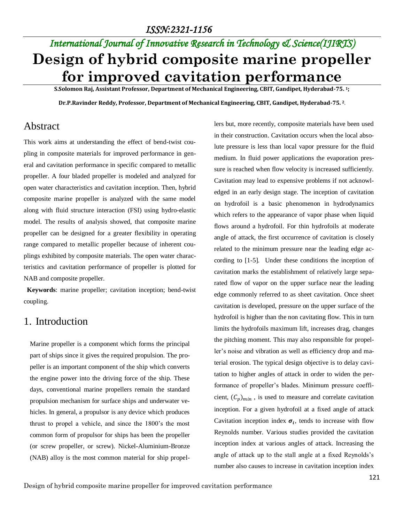# *International Journal of Innovative Research in Technology & Science(IJIRTS)* **Design of hybrid composite marine propeller for improved cavitation performance**

**S.Solomon Raj, Assistant Professor, Department of Mechanical Engineering, CBIT, Gandipet, Hyderabad-75. 1;** 

**Dr.P.Ravinder Reddy, Professor, Department of Mechanical Engineering, CBIT, Gandipet, Hyderabad-75. 2.**

## Abstract

This work aims at understanding the effect of bend-twist coupling in composite materials for improved performance in general and cavitation performance in specific compared to metallic propeller. A four bladed propeller is modeled and analyzed for open water characteristics and cavitation inception. Then, hybrid composite marine propeller is analyzed with the same model along with fluid structure interaction (FSI) using hydro-elastic model. The results of analysis showed, that composite marine propeller can be designed for a greater flexibility in operating range compared to metallic propeller because of inherent couplings exhibited by composite materials. The open water characteristics and cavitation performance of propeller is plotted for NAB and composite propeller.

 **Keywords**: marine propeller; cavitation inception; bend-twist coupling.

## 1. Introduction

Marine propeller is a component which forms the principal part of ships since it gives the required propulsion. The propeller is an important component of the ship which converts the engine power into the driving force of the ship. These days, conventional marine propellers remain the standard propulsion mechanism for surface ships and underwater vehicles. In general, a propulsor is any device which produces thrust to propel a vehicle, and since the 1800's the most common form of propulsor for ships has been the propeller (or screw propeller, or screw). Nickel-Aluminium-Bronze (NAB) alloy is the most common material for ship propellers but, more recently, composite materials have been used in their construction. Cavitation occurs when the local absolute pressure is less than local vapor pressure for the fluid medium. In fluid power applications the evaporation pressure is reached when flow velocity is increased sufficiently. Cavitation may lead to expensive problems if not acknowledged in an early design stage. The inception of cavitation on hydrofoil is a basic phenomenon in hydrodynamics which refers to the appearance of vapor phase when liquid flows around a hydrofoil. For thin hydrofoils at moderate angle of attack, the first occurrence of cavitation is closely related to the minimum pressure near the leading edge according to [1-5]. Under these conditions the inception of cavitation marks the establishment of relatively large separated flow of vapor on the upper surface near the leading edge commonly referred to as sheet cavitation. Once sheet cavitation is developed, pressure on the upper surface of the hydrofoil is higher than the non cavitating flow. This in turn limits the hydrofoils maximum lift, increases drag, changes the pitching moment. This may also responsible for propeller's noise and vibration as well as efficiency drop and material erosion. The typical design objective is to delay cavitation to higher angles of attack in order to widen the performance of propeller's blades. Minimum pressure coefficient,  $(C_p)_{min}$ , is used to measure and correlate cavitation inception. For a given hydrofoil at a fixed angle of attack Cavitation inception index  $\sigma_i$ , tends to increase with flow Reynolds number. Various studies provided the cavitation inception index at various angles of attack. Increasing the angle of attack up to the stall angle at a fixed Reynolds's number also causes to increase in cavitation inception index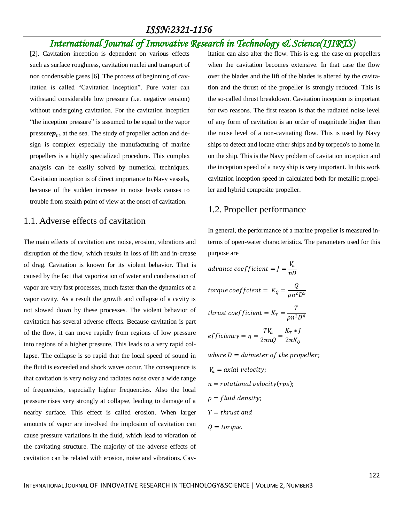# *International Journal of Innovative Research in Technology & Science(IJIRTS)*

[2]. Cavitation inception is dependent on various effects such as surface roughness, cavitation nuclei and transport of non condensable gases [6]. The process of beginning of cavitation is called "Cavitation Inception". Pure water can withstand considerable low pressure (i.e. negative tension) without undergoing cavitation. For the cavitation inception "the inception pressure" is assumed to be equal to the vapor pressure $p_v$ , at the sea. The study of propeller action and design is complex especially the manufacturing of marine propellers is a highly specialized procedure. This complex analysis can be easily solved by numerical techniques. Cavitation inception is of direct importance to Navy vessels, because of the sudden increase in noise levels causes to trouble from stealth point of view at the onset of cavitation.

#### 1.1. Adverse effects of cavitation

The main effects of cavitation are: noise, erosion, vibrations and disruption of the flow, which results in loss of lift and in-crease of drag. Cavitation is known for its violent behavior. That is caused by the fact that vaporization of water and condensation of vapor are very fast processes, much faster than the dynamics of a vapor cavity. As a result the growth and collapse of a cavity is not slowed down by these processes. The violent behavior of cavitation has several adverse effects. Because cavitation is part of the flow, it can move rapidly from regions of low pressure into regions of a higher pressure. This leads to a very rapid collapse. The collapse is so rapid that the local speed of sound in the fluid is exceeded and shock waves occur. The consequence is that cavitation is very noisy and radiates noise over a wide range of frequencies, especially higher frequencies. Also the local pressure rises very strongly at collapse, leading to damage of a nearby surface. This effect is called erosion. When larger amounts of vapor are involved the implosion of cavitation can cause pressure variations in the fluid, which lead to vibration of the cavitating structure. The majority of the adverse effects of cavitation can be related with erosion, noise and vibrations. Cavitation can also alter the flow. This is e.g. the case on propellers when the cavitation becomes extensive. In that case the flow over the blades and the lift of the blades is altered by the cavitation and the thrust of the propeller is strongly reduced. This is the so-called thrust breakdown. Cavitation inception is important for two reasons. The first reason is that the radiated noise level of any form of cavitation is an order of magnitude higher than the noise level of a non-cavitating flow. This is used by Navy ships to detect and locate other ships and by torpedo's to home in on the ship. This is the Navy problem of cavitation inception and the inception speed of a navy ship is very important. In this work cavitation inception speed in calculated both for metallic propeller and hybrid composite propeller.

#### 1.2. Propeller performance

In general, the performance of a marine propeller is measured interms of open-water characteristics. The parameters used for this purpose are

advance coefficient = 
$$
J = \frac{V_a}{n}
$$

\ntorque coefficient =  $K_Q = \frac{Q}{\rho n^2 D^5}$ 

\nthrust coefficient =  $K_T = \frac{T}{\rho n^2 D^4}$ 

\nefficiency =  $\eta = \frac{T V_a}{2 \pi n Q} = \frac{K_T * J}{2 \pi K_Q}$ 

\nwhere  $D = \text{diameter of the propeller}$ ;

\n $V_a = \text{axial velocity}$ ;

\n $n = \text{rotational velocity}(\text{rps})$ ;

\n $\rho = \text{fluid density}$ ;

\n $T = \text{thrust and}$ 

\n $Q = \text{torque}$ .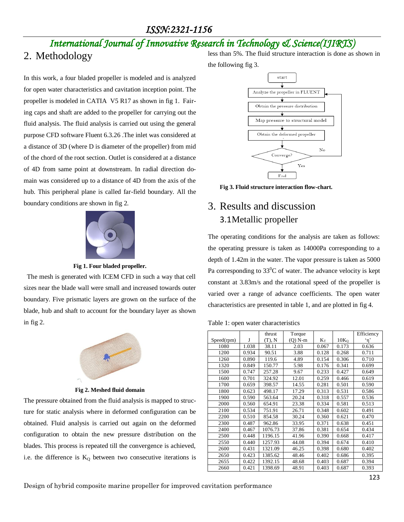# *International Journal of Innovative Research in Technology & Science(IJIRTS)*

# 2. Methodology

In this work, a four bladed propeller is modeled and is analyzed for open water characteristics and cavitation inception point. The propeller is modeled in CATIA V5 R17 as shown in fig 1. Fairing caps and shaft are added to the propeller for carrying out the fluid analysis. The fluid analysis is carried out using the general purpose CFD software Fluent 6.3.26 .The inlet was considered at a distance of 3D (where D is diameter of the propeller) from mid of the chord of the root section. Outlet is considered at a distance of 4D from same point at downstream. In radial direction domain was considered up to a distance of 4D from the axis of the hub. This peripheral plane is called far-field boundary. All the boundary conditions are shown in fig 2.



**Fig 1. Four bladed propeller.**

 The mesh is generated with ICEM CFD in such a way that cell sizes near the blade wall were small and increased towards outer boundary. Five prismatic layers are grown on the surface of the blade, hub and shaft to account for the boundary layer as shown in fig 2.



**Fig 2. Meshed fluid domain**

The pressure obtained from the fluid analysis is mapped to structure for static analysis where in deformed configuration can be obtained. Fluid analysis is carried out again on the deformed configuration to obtain the new pressure distribution on the blades. This process is repeated till the convergence is achieved, i.e. the difference is  $K<sub>Q</sub>$  between two consecutive iterations is less than 5%. The fluid structure interaction is done as shown in

the following fig 3.



**Fig 3. Fluid structure interaction flow-chart.**

# 3. Results and discussion 3.1Metallic propeller

The operating conditions for the analysis are taken as follows: the operating pressure is taken as 14000Pa corresponding to a depth of 1.42m in the water. The vapor pressure is taken as 5000 Pa corresponding to  $33^{\circ}$ C of water. The advance velocity is kept constant at 3.83m/s and the rotational speed of the propeller is varied over a range of advance coefficients. The open water characteristics are presented in table 1, and are plotted in fig 4.

|  |  |  | Table 1: open water characteristics |
|--|--|--|-------------------------------------|
|--|--|--|-------------------------------------|

|            |       | thrust  | Torque    |       |                  | Efficiency |
|------------|-------|---------|-----------|-------|------------------|------------|
| Speed(rpm) | J     | (T), N  | $(Q)$ N-m | $K_T$ | 10K <sub>O</sub> | 'n'        |
| 1080       | 1.038 | 38.11   | 2.03      | 0.067 | 0.173            | 0.636      |
| 1200       | 0.934 | 90.51   | 3.88      | 0.128 | 0.268            | 0.711      |
| 1260       | 0.890 | 119.6   | 4.89      | 0.154 | 0.306            | 0.710      |
| 1320       | 0.849 | 150.77  | 5.98      | 0.176 | 0.341            | 0.699      |
| 1500       | 0.747 | 257.28  | 9.67      | 0.233 | 0.427            | 0.649      |
| 1600       | 0.701 | 324.92  | 12.01     | 0.259 | 0.466            | 0.619      |
| 1700       | 0.659 | 398.57  | 14.55     | 0.281 | 0.501            | 0.590      |
| 1800       | 0.623 | 498.17  | 17.29     | 0.313 | 0.531            | 0.586      |
| 1900       | 0.590 | 563.64  | 20.24     | 0.318 | 0.557            | 0.536      |
| 2000       | 0.560 | 654.91  | 23.38     | 0.334 | 0.581            | 0.513      |
| 2100       | 0.534 | 751.91  | 26.71     | 0.348 | 0.602            | 0.491      |
| 2200       | 0.510 | 854.58  | 30.24     | 0.360 | 0.621            | 0.470      |
| 2300       | 0.487 | 962.86  | 33.95     | 0.371 | 0.638            | 0.451      |
| 2400       | 0.467 | 1076.73 | 37.86     | 0.381 | 0.654            | 0.434      |
| 2500       | 0.448 | 1196.15 | 41.96     | 0.390 | 0.668            | 0.417      |
| 2550       | 0.440 | 1257.93 | 44.08     | 0.394 | 0.674            | 0.410      |
| 2600       | 0.431 | 1321.09 | 46.25     | 0.398 | 0.680            | 0.402      |
| 2650       | 0.423 | 1385.62 | 48.46     | 0.402 | 0.686            | 0.395      |
| 2655       | 0.422 | 1392.15 | 48.68     | 0.403 | 0.687            | 0.394      |
| 2660       | 0.421 | 1398.69 | 48.91     | 0.403 | 0.687            | 0.393      |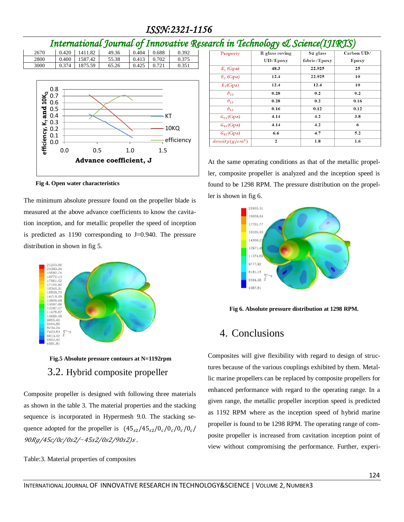# *International Journal of Innovative Research in Technology & Science(IJIRTS)*



**Fig 4. Open water characteristics**

The minimum absolute pressure found on the propeller blade is measured at the above advance coefficients to know the cavitation inception, and for metallic propeller the speed of inception is predicted as 1190 corresponding to J=0.940. The pressure distribution in shown in fig 5.



**Fig.5 Absolute pressure contours at N=1192rpm**  3.2. Hybrid composite propeller

Composite propeller is designed with following three materials as shown in the table 3. The material properties and the stacking sequence is incorporated in Hypermesh 9.0. The stacking sequence adopted for the propeller is  $(45<sub>s2</sub>/45<sub>s2</sub>/0<sub>c</sub>/0<sub>c</sub>/0<sub>c</sub>/0<sub>c</sub>/0<sub>c</sub>)$ 90Rg/45c/0c/0s2/−45s2/0s2/90s2)s.

Table:3. Material properties of composites

| Property               | R glass roving | S2 glass     | Carbon UD/  |  |
|------------------------|----------------|--------------|-------------|--|
|                        | UD/Epoxy       | fabric/Epoxy | Epoxy       |  |
| $E_1$ (Gpa)            | 48.3           | 22.925       | 25          |  |
| $E_2$ (Gpa)            | 12.4           | 22.925       | 10          |  |
| $E_3$ (Gpa)            | 12.4           | 12.4         | 10          |  |
| $\vartheta_{23}$       | 0.28           | 0.2          | 0.2         |  |
| $\vartheta_{13}$       | 0.28           | 0.2          | 0.16        |  |
| $\vartheta_{12}$       | 0.16           | 0.12         | 0.12<br>3.8 |  |
| $G_{23}$ (Gpa)         | 4.14           | 4.2          |             |  |
| 4.14<br>$G_{13}$ (Gpa) |                | 4.2          | 6           |  |
| $G_{12}$ (Gpa)         | 6.6            | 4.7          | 5.2         |  |
| $density(g/cm^3)$      | $\mathbf{2}$   | 1.8          | 1.6         |  |

At the same operating conditions as that of the metallic propeller, composite propeller is analyzed and the inception speed is found to be 1298 RPM. The pressure distribution on the propeller is shown in fig 6.



**Fig 6. Absolute pressure distribution at 1298 RPM.**

# 4. Conclusions

Composites will give flexibility with regard to design of structures because of the various couplings exhibited by them. Metallic marine propellers can be replaced by composite propellers for enhanced performance with regard to the operating range. In a given range, the metallic propeller inception speed is predicted as 1192 RPM where as the inception speed of hybrid marine propeller is found to be 1298 RPM. The operating range of composite propeller is increased from cavitation inception point of view without compromising the performance. Further, experi-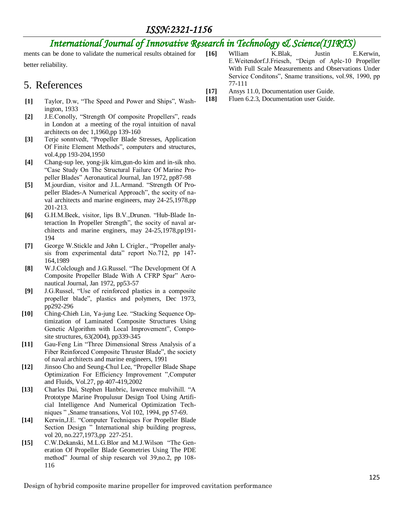# *International Journal of Innovative Research in Technology & Science(IJIRTS)*

ments can be done to validate the numerical results obtained for better reliability.

## 5. References

- **[1]** Taylor, D.w, "The Speed and Power and Ships", Washington, 1933
- **[2]** J.E.Conolly, "Strength Of composite Propellers", reads in London at a meeting of the royal intuition of naval architects on dec 1,1960,pp 139-160
- **[3]** Terje sonntvedt, "Propeller Blade Stresses, Application Of Finite Element Methods", computers and structures, vol.4,pp 193-204,1950
- **[4]** Chang-sup lee, yong-jik kim,gun-do kim and in-sik nho. "Case Study On The Structural Failure Of Marine Propeller Blades" Aeronautical Journal, Jan 1972, pp87-98
- **[5]** M.jourdian, visitor and J.L.Armand. "Strength Of Propeller Blades-A Numerical Approach", the socity of naval architects and marine engineers, may 24-25,1978,pp 201-213.
- **[6]** G.H.M.Beek, visitor, lips B.V.,Drunen. "Hub-Blade Interaction In Propeller Strength", the socity of naval architects and marine enginers, may 24-25,1978,pp191- 194
- **[7]** George W.Stickle and John L Crigler., "Propeller analysis from experimental data" report No.712, pp 147- 164,1989
- **[8]** W.J.Colclough and J.G.Russel. "The Development Of A Composite Propeller Blade With A CFRP Spar" Aeronautical Journal, Jan 1972, pp53-57
- **[9]** J.G.Russel, "Use of reinforced plastics in a composite propeller blade", plastics and polymers, Dec 1973, pp292-296
- **[10]** Ching-Chieh Lin, Ya-jung Lee. "Stacking Sequence Optimization of Laminated Composite Structures Using Genetic Algorithm with Local Improvement", Composite structures, 63(2004), pp339-345
- **[11]** Gau-Feng Lin "Three Dimensional Stress Analysis of a Fiber Reinforced Composite Thruster Blade", the society of naval architects and marine engineers, 1991
- **[12]** Jinsoo Cho and Seung-Chul Lee, "Propeller Blade Shape Optimization For Efficiency Improvement ",Computer and Fluids, Vol.27, pp 407-419,2002
- **[13]** Charles Dai, Stephen Hanbric, lawerence mulvihill. "A Prototype Marine Propulusur Design Tool Using Artificial Intelligence And Numerical Optimization Techniques " ,Sname transations, Vol 102, 1994, pp 57-69.
- **[14]** Kerwin,J.E. "Computer Techniques For Propeller Blade Section Design " International ship building progress, vol 20, no.227,1973,pp 227-251.
- **[15]** C.W.Dekanski, M.L.G.Blor and M.J.Wilson "The Generation Of Propeller Blade Geometries Using The PDE method" Journal of ship research vol 39,no.2, pp 108- 116
- **[16]** Wlliam K.Blak, Justin E.Kerwin, E.Weitendorf.J.Friesch, "Deign of Aplc-10 Propeller With Full Scale Measurements and Observations Under Service Conditons", Sname transitions, vol.98, 1990, pp 77-111
- **[17]** Ansys 11.0, Documentation user Guide.
- **[18]** Fluen 6.2.3, Documentation user Guide.